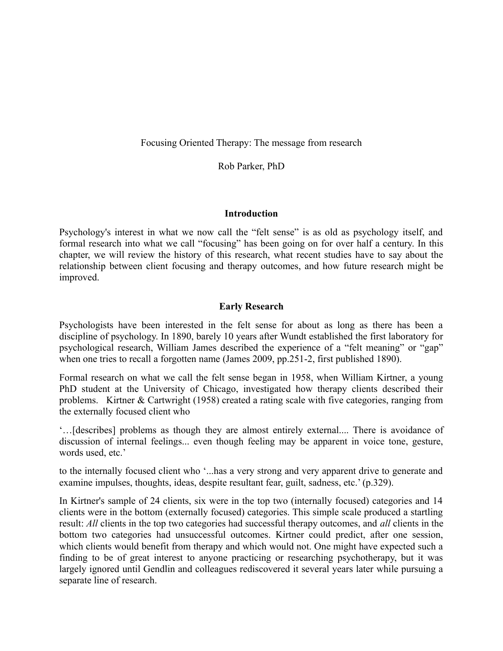Focusing Oriented Therapy: The message from research

Rob Parker, PhD

# **Introduction**

Psychology's interest in what we now call the "felt sense" is as old as psychology itself, and formal research into what we call "focusing" has been going on for over half a century. In this chapter, we will review the history of this research, what recent studies have to say about the relationship between client focusing and therapy outcomes, and how future research might be improved.

# **Early Research**

Psychologists have been interested in the felt sense for about as long as there has been a discipline of psychology. In 1890, barely 10 years after Wundt established the first laboratory for psychological research, William James described the experience of a "felt meaning" or "gap" when one tries to recall a forgotten name (James 2009, pp.251-2, first published 1890).

Formal research on what we call the felt sense began in 1958, when William Kirtner, a young PhD student at the University of Chicago, investigated how therapy clients described their problems. Kirtner & Cartwright (1958) created a rating scale with five categories, ranging from the externally focused client who

'…[describes] problems as though they are almost entirely external.... There is avoidance of discussion of internal feelings... even though feeling may be apparent in voice tone, gesture, words used, etc.'

to the internally focused client who '...has a very strong and very apparent drive to generate and examine impulses, thoughts, ideas, despite resultant fear, guilt, sadness, etc.' (p.329).

In Kirtner's sample of 24 clients, six were in the top two (internally focused) categories and 14 clients were in the bottom (externally focused) categories. This simple scale produced a startling result: *All* clients in the top two categories had successful therapy outcomes, and *all* clients in the bottom two categories had unsuccessful outcomes. Kirtner could predict, after one session, which clients would benefit from therapy and which would not. One might have expected such a finding to be of great interest to anyone practicing or researching psychotherapy, but it was largely ignored until Gendlin and colleagues rediscovered it several years later while pursuing a separate line of research.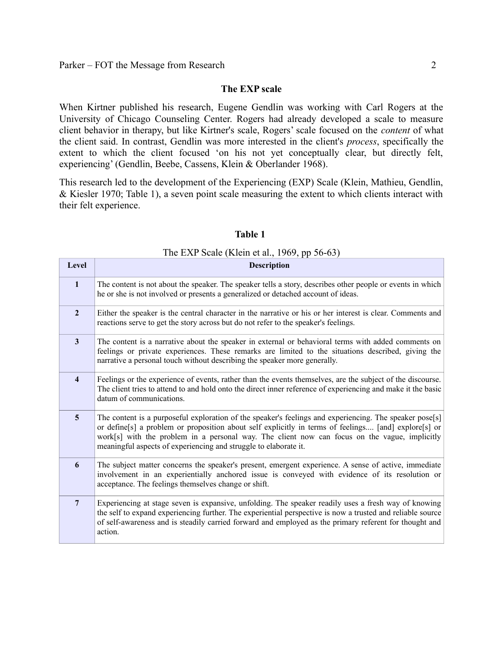# **The EXP scale**

When Kirtner published his research, Eugene Gendlin was working with Carl Rogers at the University of Chicago Counseling Center. Rogers had already developed a scale to measure client behavior in therapy, but like Kirtner's scale, Rogers' scale focused on the *content* of what the client said. In contrast, Gendlin was more interested in the client's *process*, specifically the extent to which the client focused 'on his not yet conceptually clear, but directly felt, experiencing' (Gendlin, Beebe, Cassens, Klein & Oberlander 1968).

This research led to the development of the Experiencing (EXP) Scale (Klein, Mathieu, Gendlin, & Kiesler 1970; Table 1), a seven point scale measuring the extent to which clients interact with their felt experience.

## **Table 1**

| Level                   | <b>Description</b>                                                                                                                                                                                                                                                                                                                                                                   |  |  |  |  |  |  |  |  |
|-------------------------|--------------------------------------------------------------------------------------------------------------------------------------------------------------------------------------------------------------------------------------------------------------------------------------------------------------------------------------------------------------------------------------|--|--|--|--|--|--|--|--|
| $\mathbf{1}$            | The content is not about the speaker. The speaker tells a story, describes other people or events in which<br>he or she is not involved or presents a generalized or detached account of ideas.                                                                                                                                                                                      |  |  |  |  |  |  |  |  |
| $\overline{2}$          | Either the speaker is the central character in the narrative or his or her interest is clear. Comments and<br>reactions serve to get the story across but do not refer to the speaker's feelings.                                                                                                                                                                                    |  |  |  |  |  |  |  |  |
| $\mathbf{3}$            | The content is a narrative about the speaker in external or behavioral terms with added comments on<br>feelings or private experiences. These remarks are limited to the situations described, giving the<br>narrative a personal touch without describing the speaker more generally.                                                                                               |  |  |  |  |  |  |  |  |
| $\overline{\mathbf{4}}$ | Feelings or the experience of events, rather than the events themselves, are the subject of the discourse.<br>The client tries to attend to and hold onto the direct inner reference of experiencing and make it the basic<br>datum of communications.                                                                                                                               |  |  |  |  |  |  |  |  |
| $5\overline{)}$         | The content is a purposeful exploration of the speaker's feelings and experiencing. The speaker pose[s]<br>or define[s] a problem or proposition about self explicitly in terms of feelings [and] explore[s] or<br>work[s] with the problem in a personal way. The client now can focus on the vague, implicitly<br>meaningful aspects of experiencing and struggle to elaborate it. |  |  |  |  |  |  |  |  |
| 6                       | The subject matter concerns the speaker's present, emergent experience. A sense of active, immediate<br>involvement in an experientially anchored issue is conveyed with evidence of its resolution or<br>acceptance. The feelings themselves change or shift.                                                                                                                       |  |  |  |  |  |  |  |  |
| $\overline{7}$          | Experiencing at stage seven is expansive, unfolding. The speaker readily uses a fresh way of knowing<br>the self to expand experiencing further. The experiential perspective is now a trusted and reliable source<br>of self-awareness and is steadily carried forward and employed as the primary referent for thought and<br>action.                                              |  |  |  |  |  |  |  |  |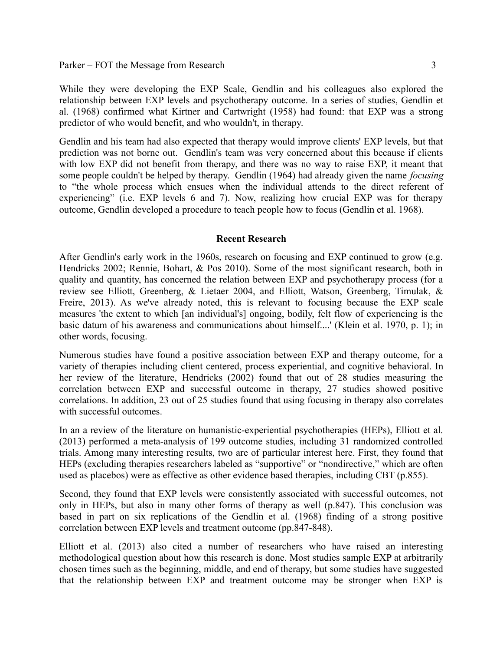While they were developing the EXP Scale, Gendlin and his colleagues also explored the relationship between EXP levels and psychotherapy outcome. In a series of studies, Gendlin et al. (1968) confirmed what Kirtner and Cartwright (1958) had found: that EXP was a strong predictor of who would benefit, and who wouldn't, in therapy.

Gendlin and his team had also expected that therapy would improve clients' EXP levels, but that prediction was not borne out. Gendlin's team was very concerned about this because if clients with low EXP did not benefit from therapy, and there was no way to raise EXP, it meant that some people couldn't be helped by therapy. Gendlin (1964) had already given the name *focusing* to "the whole process which ensues when the individual attends to the direct referent of experiencing" (i.e. EXP levels 6 and 7). Now, realizing how crucial EXP was for therapy outcome, Gendlin developed a procedure to teach people how to focus (Gendlin et al. 1968).

### **Recent Research**

After Gendlin's early work in the 1960s, research on focusing and EXP continued to grow (e.g. Hendricks 2002; Rennie, Bohart, & Pos 2010). Some of the most significant research, both in quality and quantity, has concerned the relation between EXP and psychotherapy process (for a review see Elliott, Greenberg, & Lietaer 2004, and Elliott, Watson, Greenberg, Timulak, & Freire, 2013). As we've already noted, this is relevant to focusing because the EXP scale measures 'the extent to which [an individual's] ongoing, bodily, felt flow of experiencing is the basic datum of his awareness and communications about himself....' (Klein et al. 1970, p. 1); in other words, focusing.

Numerous studies have found a positive association between EXP and therapy outcome, for a variety of therapies including client centered, process experiential, and cognitive behavioral. In her review of the literature, Hendricks (2002) found that out of 28 studies measuring the correlation between EXP and successful outcome in therapy, 27 studies showed positive correlations. In addition, 23 out of 25 studies found that using focusing in therapy also correlates with successful outcomes.

In an a review of the literature on humanistic-experiential psychotherapies (HEPs), Elliott et al. (2013) performed a meta-analysis of 199 outcome studies, including 31 randomized controlled trials. Among many interesting results, two are of particular interest here. First, they found that HEPs (excluding therapies researchers labeled as "supportive" or "nondirective," which are often used as placebos) were as effective as other evidence based therapies, including CBT (p.855).

Second, they found that EXP levels were consistently associated with successful outcomes, not only in HEPs, but also in many other forms of therapy as well (p.847). This conclusion was based in part on six replications of the Gendlin et al. (1968) finding of a strong positive correlation between EXP levels and treatment outcome (pp.847-848).

Elliott et al. (2013) also cited a number of researchers who have raised an interesting methodological question about how this research is done. Most studies sample EXP at arbitrarily chosen times such as the beginning, middle, and end of therapy, but some studies have suggested that the relationship between EXP and treatment outcome may be stronger when EXP is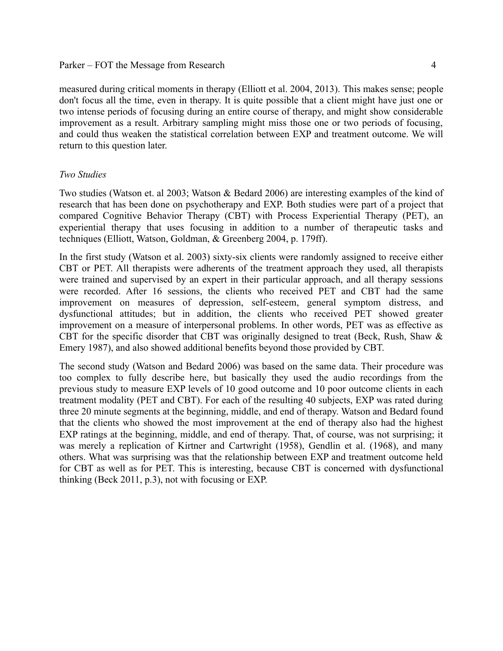measured during critical moments in therapy (Elliott et al. 2004, 2013). This makes sense; people don't focus all the time, even in therapy. It is quite possible that a client might have just one or two intense periods of focusing during an entire course of therapy, and might show considerable improvement as a result. Arbitrary sampling might miss those one or two periods of focusing, and could thus weaken the statistical correlation between EXP and treatment outcome. We will return to this question later.

### *Two Studies*

Two studies (Watson et. al 2003; Watson & Bedard 2006) are interesting examples of the kind of research that has been done on psychotherapy and EXP. Both studies were part of a project that compared Cognitive Behavior Therapy (CBT) with Process Experiential Therapy (PET), an experiential therapy that uses focusing in addition to a number of therapeutic tasks and techniques (Elliott, Watson, Goldman, & Greenberg 2004, p. 179ff).

In the first study (Watson et al. 2003) sixty-six clients were randomly assigned to receive either CBT or PET. All therapists were adherents of the treatment approach they used, all therapists were trained and supervised by an expert in their particular approach, and all therapy sessions were recorded. After 16 sessions, the clients who received PET and CBT had the same improvement on measures of depression, self-esteem, general symptom distress, and dysfunctional attitudes; but in addition, the clients who received PET showed greater improvement on a measure of interpersonal problems. In other words, PET was as effective as CBT for the specific disorder that CBT was originally designed to treat (Beck, Rush, Shaw & Emery 1987), and also showed additional benefits beyond those provided by CBT.

The second study (Watson and Bedard 2006) was based on the same data. Their procedure was too complex to fully describe here, but basically they used the audio recordings from the previous study to measure EXP levels of 10 good outcome and 10 poor outcome clients in each treatment modality (PET and CBT). For each of the resulting 40 subjects, EXP was rated during three 20 minute segments at the beginning, middle, and end of therapy. Watson and Bedard found that the clients who showed the most improvement at the end of therapy also had the highest EXP ratings at the beginning, middle, and end of therapy. That, of course, was not surprising; it was merely a replication of Kirtner and Cartwright (1958), Gendlin et al. (1968), and many others. What was surprising was that the relationship between EXP and treatment outcome held for CBT as well as for PET. This is interesting, because CBT is concerned with dysfunctional thinking (Beck 2011, p.3), not with focusing or EXP.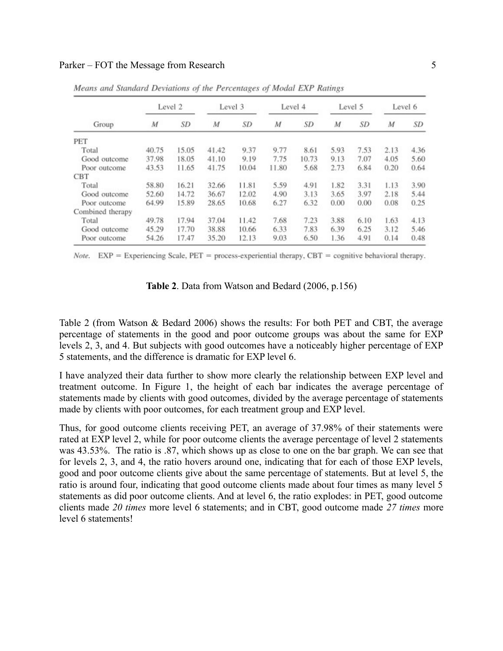|                  | Level 2 |       | Level 3        |       | Level 4 |       | Level 5 |      | Level 6 |      |
|------------------|---------|-------|----------------|-------|---------|-------|---------|------|---------|------|
| Group            | M       | SD    | $\overline{M}$ | SD    | M       | SD    | M       | SD   | M       | SD   |
| PET              |         |       |                |       |         |       |         |      |         |      |
| Total            | 40.75   | 15.05 | 41.42          | 9.37  | 9.77    | 8.61  | 5.93    | 7.53 | 2.13    | 4.36 |
| Good outcome     | 37.98   | 18.05 | 41.10          | 9.19  | 7.75    | 10.73 | 9.13    | 7.07 | 4.05    | 5.60 |
| Poor outcome     | 43.53   | 11.65 | 41.75          | 10.04 | 11.80   | 5.68  | 2.73    | 6.84 | 0.20    | 0.64 |
| <b>CBT</b>       |         |       |                |       |         |       |         |      |         |      |
| Total            | 58.80   | 16.21 | 32.66          | 11.81 | 5.59    | 4.91  | 1.82    | 3.31 | 1.13    | 3.90 |
| Good outcome     | 52.60   | 14.72 | 36.67          | 12.02 | 4.90    | 3.13  | 3.65    | 3.97 | 2.18    | 5.44 |
| Poor outcome     | 64.99   | 15.89 | 28.65          | 10.68 | 6.27    | 6.32  | 0.00    | 0.00 | 0.08    | 0.25 |
| Combined therapy |         |       |                |       |         |       |         |      |         |      |
| Total            | 49.78   | 17.94 | 37.04          | 11.42 | 7.68    | 7.23  | 3.88    | 6.10 | 1.63    | 4.13 |
| Good outcome     | 45.29   | 17.70 | 38.88          | 10.66 | 6.33    | 7.83  | 6.39    | 6.25 | 3.12    | 5.46 |
| Poor outcome     | 54.26   | 17.47 | 35.20          | 12.13 | 9.03    | 6.50  | 1.36    | 4.91 | 0.14    | 0.48 |

Means and Standard Deviations of the Percentages of Modal EXP Ratings

Note.  $EXP = Experienceing Scale, PET = process-experimental therapy, CBT = cognitive behavioral therapy.$ 

**Table 2**. Data from Watson and Bedard (2006, p.156)

Table 2 (from Watson & Bedard 2006) shows the results: For both PET and CBT, the average percentage of statements in the good and poor outcome groups was about the same for EXP levels 2, 3, and 4. But subjects with good outcomes have a noticeably higher percentage of EXP 5 statements, and the difference is dramatic for EXP level 6.

I have analyzed their data further to show more clearly the relationship between EXP level and treatment outcome. In Figure 1, the height of each bar indicates the average percentage of statements made by clients with good outcomes, divided by the average percentage of statements made by clients with poor outcomes, for each treatment group and EXP level.

Thus, for good outcome clients receiving PET, an average of 37.98% of their statements were rated at EXP level 2, while for poor outcome clients the average percentage of level 2 statements was 43.53%. The ratio is .87, which shows up as close to one on the bar graph. We can see that for levels 2, 3, and 4, the ratio hovers around one, indicating that for each of those EXP levels, good and poor outcome clients give about the same percentage of statements. But at level 5, the ratio is around four, indicating that good outcome clients made about four times as many level 5 statements as did poor outcome clients. And at level 6, the ratio explodes: in PET, good outcome clients made *20 times* more level 6 statements; and in CBT, good outcome made *27 times* more level 6 statements!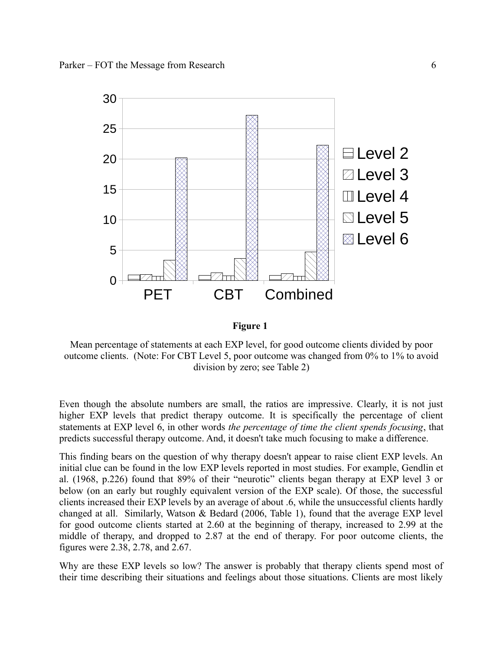



Mean percentage of statements at each EXP level, for good outcome clients divided by poor outcome clients. (Note: For CBT Level 5, poor outcome was changed from 0% to 1% to avoid division by zero; see Table 2)

Even though the absolute numbers are small, the ratios are impressive. Clearly, it is not just higher EXP levels that predict therapy outcome. It is specifically the percentage of client statements at EXP level 6, in other words *the percentage of time the client spends focusing*, that predicts successful therapy outcome. And, it doesn't take much focusing to make a difference.

This finding bears on the question of why therapy doesn't appear to raise client EXP levels. An initial clue can be found in the low EXP levels reported in most studies. For example, Gendlin et al. (1968, p.226) found that 89% of their "neurotic" clients began therapy at EXP level 3 or below (on an early but roughly equivalent version of the EXP scale). Of those, the successful clients increased their EXP levels by an average of about .6, while the unsuccessful clients hardly changed at all. Similarly, Watson & Bedard (2006, Table 1), found that the average EXP level for good outcome clients started at 2.60 at the beginning of therapy, increased to 2.99 at the middle of therapy, and dropped to 2.87 at the end of therapy. For poor outcome clients, the figures were 2.38, 2.78, and 2.67.

Why are these EXP levels so low? The answer is probably that therapy clients spend most of their time describing their situations and feelings about those situations. Clients are most likely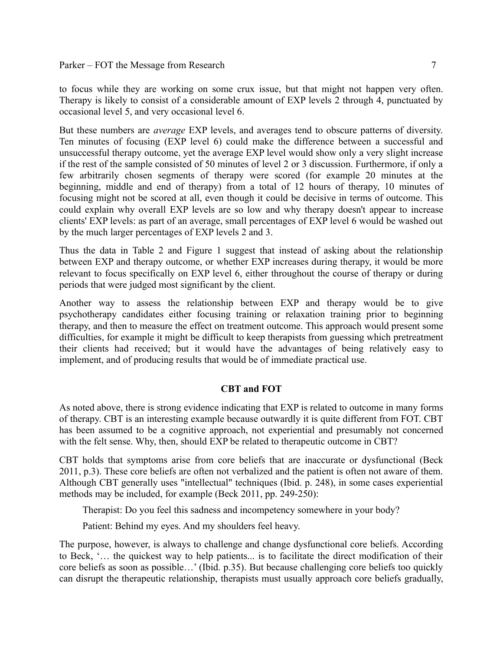to focus while they are working on some crux issue, but that might not happen very often. Therapy is likely to consist of a considerable amount of EXP levels 2 through 4, punctuated by occasional level 5, and very occasional level 6.

But these numbers are *average* EXP levels, and averages tend to obscure patterns of diversity. Ten minutes of focusing (EXP level 6) could make the difference between a successful and unsuccessful therapy outcome, yet the average EXP level would show only a very slight increase if the rest of the sample consisted of 50 minutes of level 2 or 3 discussion. Furthermore, if only a few arbitrarily chosen segments of therapy were scored (for example 20 minutes at the beginning, middle and end of therapy) from a total of 12 hours of therapy, 10 minutes of focusing might not be scored at all, even though it could be decisive in terms of outcome. This could explain why overall EXP levels are so low and why therapy doesn't appear to increase clients' EXP levels: as part of an average, small percentages of EXP level 6 would be washed out by the much larger percentages of EXP levels 2 and 3.

Thus the data in Table 2 and Figure 1 suggest that instead of asking about the relationship between EXP and therapy outcome, or whether EXP increases during therapy, it would be more relevant to focus specifically on EXP level 6, either throughout the course of therapy or during periods that were judged most significant by the client.

Another way to assess the relationship between EXP and therapy would be to give psychotherapy candidates either focusing training or relaxation training prior to beginning therapy, and then to measure the effect on treatment outcome. This approach would present some difficulties, for example it might be difficult to keep therapists from guessing which pretreatment their clients had received; but it would have the advantages of being relatively easy to implement, and of producing results that would be of immediate practical use.

# **CBT and FOT**

As noted above, there is strong evidence indicating that EXP is related to outcome in many forms of therapy. CBT is an interesting example because outwardly it is quite different from FOT. CBT has been assumed to be a cognitive approach, not experiential and presumably not concerned with the felt sense. Why, then, should EXP be related to therapeutic outcome in CBT?

CBT holds that symptoms arise from core beliefs that are inaccurate or dysfunctional (Beck 2011, p.3). These core beliefs are often not verbalized and the patient is often not aware of them. Although CBT generally uses "intellectual" techniques (Ibid. p. 248), in some cases experiential methods may be included, for example (Beck 2011, pp. 249-250):

Therapist: Do you feel this sadness and incompetency somewhere in your body?

Patient: Behind my eyes. And my shoulders feel heavy.

The purpose, however, is always to challenge and change dysfunctional core beliefs. According to Beck, '… the quickest way to help patients... is to facilitate the direct modification of their core beliefs as soon as possible…' (Ibid. p.35). But because challenging core beliefs too quickly can disrupt the therapeutic relationship, therapists must usually approach core beliefs gradually,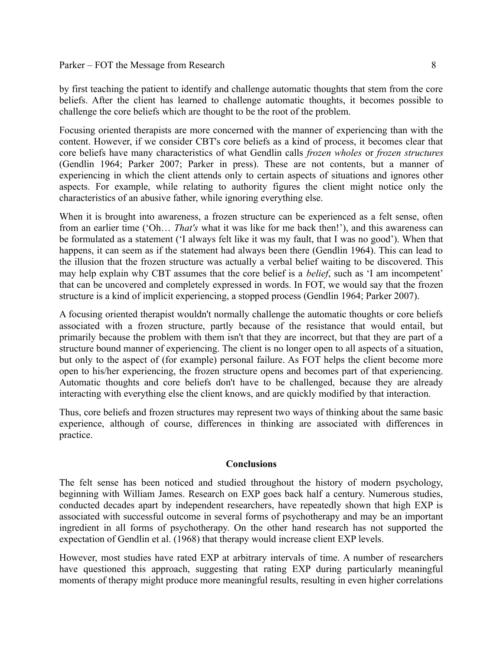by first teaching the patient to identify and challenge automatic thoughts that stem from the core beliefs. After the client has learned to challenge automatic thoughts, it becomes possible to challenge the core beliefs which are thought to be the root of the problem.

Focusing oriented therapists are more concerned with the manner of experiencing than with the content. However, if we consider CBT's core beliefs as a kind of process, it becomes clear that core beliefs have many characteristics of what Gendlin calls *frozen wholes* or *frozen structures* (Gendlin 1964; Parker 2007; Parker in press). These are not contents, but a manner of experiencing in which the client attends only to certain aspects of situations and ignores other aspects. For example, while relating to authority figures the client might notice only the characteristics of an abusive father, while ignoring everything else.

When it is brought into awareness, a frozen structure can be experienced as a felt sense, often from an earlier time ('Oh… *That's* what it was like for me back then!'), and this awareness can be formulated as a statement ('I always felt like it was my fault, that I was no good'). When that happens, it can seem as if the statement had always been there (Gendlin 1964). This can lead to the illusion that the frozen structure was actually a verbal belief waiting to be discovered. This may help explain why CBT assumes that the core belief is a *belief*, such as 'I am incompetent' that can be uncovered and completely expressed in words. In FOT, we would say that the frozen structure is a kind of implicit experiencing, a stopped process (Gendlin 1964; Parker 2007).

A focusing oriented therapist wouldn't normally challenge the automatic thoughts or core beliefs associated with a frozen structure, partly because of the resistance that would entail, but primarily because the problem with them isn't that they are incorrect, but that they are part of a structure bound manner of experiencing. The client is no longer open to all aspects of a situation, but only to the aspect of (for example) personal failure. As FOT helps the client become more open to his/her experiencing, the frozen structure opens and becomes part of that experiencing. Automatic thoughts and core beliefs don't have to be challenged, because they are already interacting with everything else the client knows, and are quickly modified by that interaction.

Thus, core beliefs and frozen structures may represent two ways of thinking about the same basic experience, although of course, differences in thinking are associated with differences in practice.

#### **Conclusions**

The felt sense has been noticed and studied throughout the history of modern psychology, beginning with William James. Research on EXP goes back half a century. Numerous studies, conducted decades apart by independent researchers, have repeatedly shown that high EXP is associated with successful outcome in several forms of psychotherapy and may be an important ingredient in all forms of psychotherapy. On the other hand research has not supported the expectation of Gendlin et al. (1968) that therapy would increase client EXP levels.

However, most studies have rated EXP at arbitrary intervals of time. A number of researchers have questioned this approach, suggesting that rating EXP during particularly meaningful moments of therapy might produce more meaningful results, resulting in even higher correlations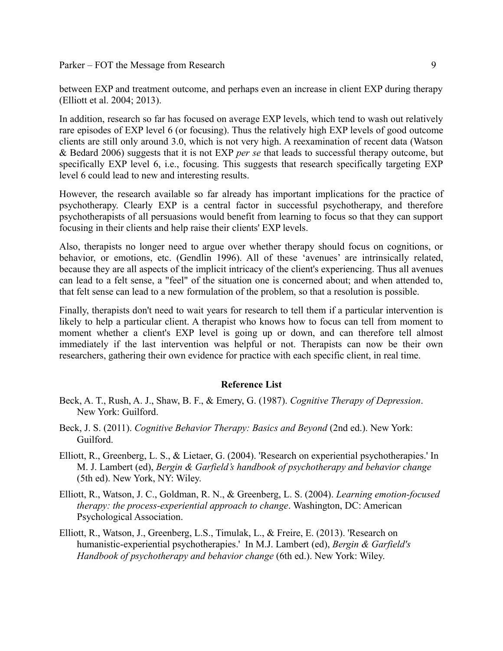between EXP and treatment outcome, and perhaps even an increase in client EXP during therapy (Elliott et al. 2004; 2013).

In addition, research so far has focused on average EXP levels, which tend to wash out relatively rare episodes of EXP level 6 (or focusing). Thus the relatively high EXP levels of good outcome clients are still only around 3.0, which is not very high. A reexamination of recent data (Watson & Bedard 2006) suggests that it is not EXP *per se* that leads to successful therapy outcome, but specifically EXP level 6, i.e., focusing. This suggests that research specifically targeting EXP level 6 could lead to new and interesting results.

However, the research available so far already has important implications for the practice of psychotherapy. Clearly EXP is a central factor in successful psychotherapy, and therefore psychotherapists of all persuasions would benefit from learning to focus so that they can support focusing in their clients and help raise their clients' EXP levels.

Also, therapists no longer need to argue over whether therapy should focus on cognitions, or behavior, or emotions, etc. (Gendlin 1996). All of these 'avenues' are intrinsically related, because they are all aspects of the implicit intricacy of the client's experiencing. Thus all avenues can lead to a felt sense, a "feel" of the situation one is concerned about; and when attended to, that felt sense can lead to a new formulation of the problem, so that a resolution is possible.

Finally, therapists don't need to wait years for research to tell them if a particular intervention is likely to help a particular client. A therapist who knows how to focus can tell from moment to moment whether a client's EXP level is going up or down, and can therefore tell almost immediately if the last intervention was helpful or not. Therapists can now be their own researchers, gathering their own evidence for practice with each specific client, in real time.

## **Reference List**

- Beck, A. T., Rush, A. J., Shaw, B. F., & Emery, G. (1987). *Cognitive Therapy of Depression*. New York: Guilford.
- Beck, J. S. (2011). *Cognitive Behavior Therapy: Basics and Beyond* (2nd ed.). New York: Guilford.
- Elliott, R., Greenberg, L. S., & Lietaer, G. (2004). 'Research on experiential psychotherapies.' In M. J. Lambert (ed), *Bergin & Garfield's handbook of psychotherapy and behavior change* (5th ed). New York, NY: Wiley.
- Elliott, R., Watson, J. C., Goldman, R. N., & Greenberg, L. S. (2004). *Learning emotion-focused therapy: the process-experiential approach to change*. Washington, DC: American Psychological Association.
- Elliott, R., Watson, J., Greenberg, L.S., Timulak, L., & Freire, E. (2013). 'Research on humanistic-experiential psychotherapies.' In M.J. Lambert (ed), *Bergin & Garfield's Handbook of psychotherapy and behavior change* (6th ed.). New York: Wiley.